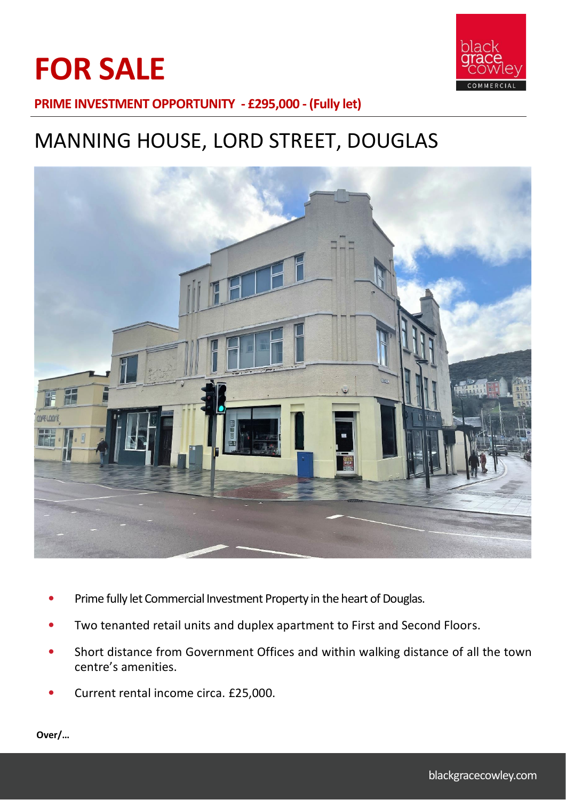# **FOR SALE**



**PRIME INVESTMENT OPPORTUNITY - £295,000 - (Fully let)**

# MANNING HOUSE, LORD STREET, DOUGLAS



- Prime fully let Commercial Investment Property in the heart of Douglas.
- Two tenanted retail units and duplex apartment to First and Second Floors.
- Short distance from Government Offices and within walking distance of all the town centre's amenities.
- Current rental income circa. £25,000.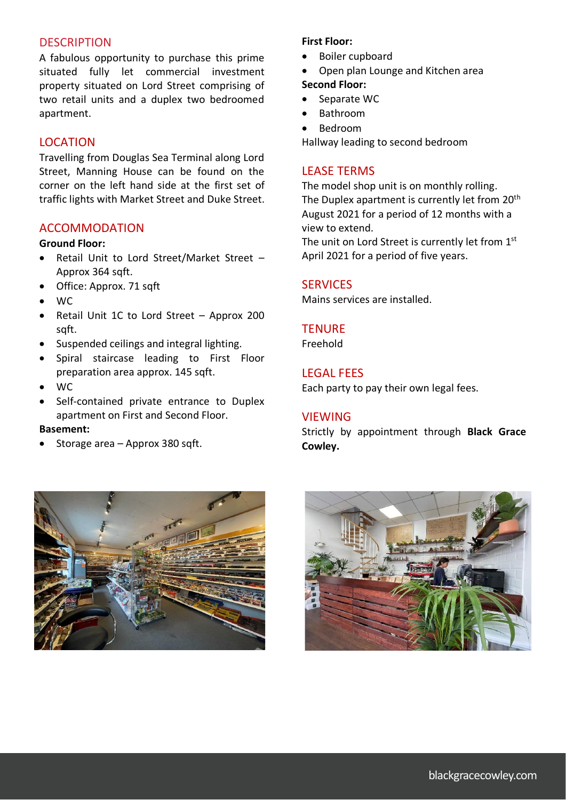#### **DESCRIPTION**

A fabulous opportunity to purchase this prime situated fully let commercial investment property situated on Lord Street comprising of two retail units and a duplex two bedroomed apartment.

## LOCATION

Travelling from Douglas Sea Terminal along Lord Street, Manning House can be found on the corner on the left hand side at the first set of traffic lights with Market Street and Duke Street.

### ACCOMMODATION

#### **Ground Floor:**

- Retail Unit to Lord Street/Market Street Approx 364 sqft.
- Office: Approx. 71 sqft
- WC
- Retail Unit 1C to Lord Street Approx 200 sqft.
- Suspended ceilings and integral lighting.
- Spiral staircase leading to First Floor preparation area approx. 145 sqft.
- WC
- Self-contained private entrance to Duplex apartment on First and Second Floor.

#### **Basement:**

• Storage area – Approx 380 sqft.



- Boiler cupboard
- Open plan Lounge and Kitchen area **Second Floor:**
- Separate WC
- Bathroom
- Bedroom

Hallway leading to second bedroom

#### LEASE TERMS

The model shop unit is on monthly rolling. The Duplex apartment is currently let from 20<sup>th</sup> August 2021 for a period of 12 months with a view to extend.

The unit on Lord Street is currently let from 1st April 2021 for a period of five years.

#### **SERVICES**

Mains services are installed.

#### **TFNURF**

Freehold

### LEGAL FEES

Each party to pay their own legal fees.

#### **VIEWING**

Strictly by appointment through **Black Grace Cowley.**